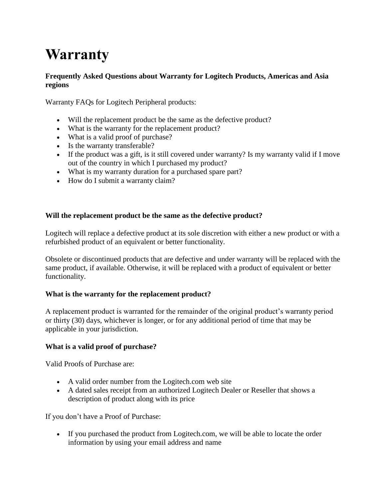# **Warranty**

## **Frequently Asked Questions about Warranty for Logitech Products, Americas and Asia regions**

Warranty FAQs for Logitech Peripheral products:

- Will the replacement product be the same as the defective product?
- What is the warranty for the replacement product?
- What is a valid proof of purchase?
- Is the warranty transferable?
- If the product was a gift, is it still covered under warranty? Is my warranty valid if I move out of the country in which I purchased my product?
- What is my warranty duration for a purchased spare part?
- How do I submit a warranty claim?

## **Will the replacement product be the same as the defective product?**

Logitech will replace a defective product at its sole discretion with either a new product or with a refurbished product of an equivalent or better functionality.

Obsolete or discontinued products that are defective and under warranty will be replaced with the same product, if available. Otherwise, it will be replaced with a product of equivalent or better functionality.

## **What is the warranty for the replacement product?**

A replacement product is warranted for the remainder of the original product's warranty period or thirty (30) days, whichever is longer, or for any additional period of time that may be applicable in your jurisdiction.

## **What is a valid proof of purchase?**

Valid Proofs of Purchase are:

- A valid order number from the Logitech.com web site
- A dated sales receipt from an authorized Logitech Dealer or Reseller that shows a description of product along with its price

If you don't have a Proof of Purchase:

 If you purchased the product from Logitech.com, we will be able to locate the order information by using your email address and name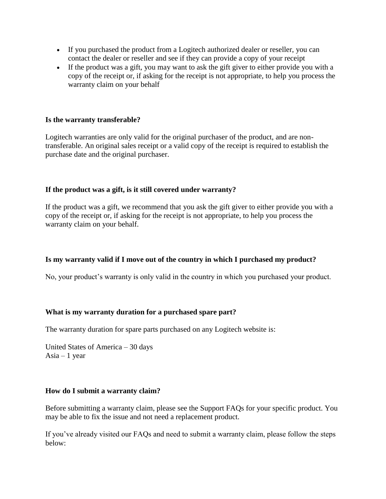- If you purchased the product from a Logitech authorized dealer or reseller, you can contact the dealer or reseller and see if they can provide a copy of your receipt
- If the product was a gift, you may want to ask the gift giver to either provide you with a copy of the receipt or, if asking for the receipt is not appropriate, to help you process the warranty claim on your behalf

#### **Is the warranty transferable?**

Logitech warranties are only valid for the original purchaser of the product, and are nontransferable. An original sales receipt or a valid copy of the receipt is required to establish the purchase date and the original purchaser.

#### **If the product was a gift, is it still covered under warranty?**

If the product was a gift, we recommend that you ask the gift giver to either provide you with a copy of the receipt or, if asking for the receipt is not appropriate, to help you process the warranty claim on your behalf.

#### **Is my warranty valid if I move out of the country in which I purchased my product?**

No, your product's warranty is only valid in the country in which you purchased your product.

#### **What is my warranty duration for a purchased spare part?**

The warranty duration for spare parts purchased on any Logitech website is:

United States of America – 30 days Asia – 1 year

#### **How do I submit a warranty claim?**

Before submitting a warranty claim, please see the Support FAQs for your specific product. You may be able to fix the issue and not need a replacement product.

If you've already visited our FAQs and need to submit a warranty claim, please follow the steps below: